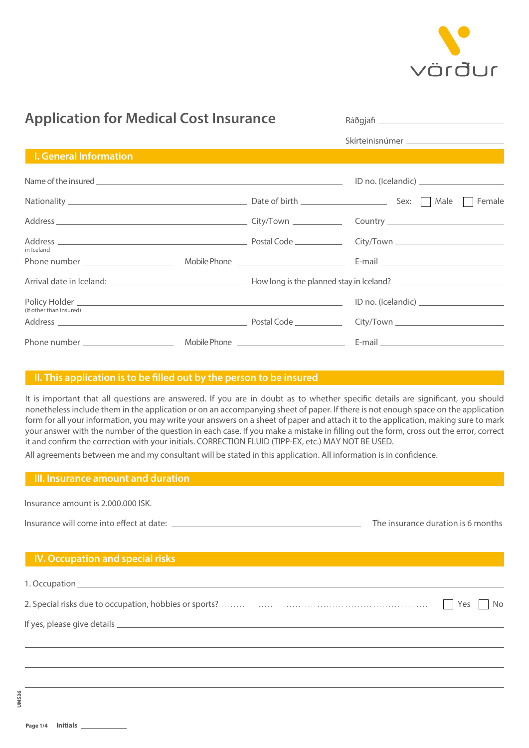

| <b>Application for Medical Cost Insurance</b> |  | Ráðgjafi <u>______________________________</u> |                                                                                                                                                                                                                                      |
|-----------------------------------------------|--|------------------------------------------------|--------------------------------------------------------------------------------------------------------------------------------------------------------------------------------------------------------------------------------------|
|                                               |  |                                                |                                                                                                                                                                                                                                      |
| <b>I. General Information</b>                 |  |                                                |                                                                                                                                                                                                                                      |
|                                               |  |                                                | Name of the insured <b>Exercise Contract Contract Contract Contract Contract Contract Contract Contract Contract Contract Contract Contract Contract Contract Contract Contract Contract Contract Contract Contract Contract Con</b> |
|                                               |  |                                                |                                                                                                                                                                                                                                      |
|                                               |  |                                                |                                                                                                                                                                                                                                      |
| in Iceland                                    |  |                                                |                                                                                                                                                                                                                                      |
|                                               |  |                                                |                                                                                                                                                                                                                                      |
|                                               |  |                                                |                                                                                                                                                                                                                                      |
| (if other than insured)                       |  |                                                |                                                                                                                                                                                                                                      |
|                                               |  |                                                |                                                                                                                                                                                                                                      |
|                                               |  |                                                |                                                                                                                                                                                                                                      |
|                                               |  |                                                |                                                                                                                                                                                                                                      |

### **II.** This application is to be filled out by the person to be insured

It is important that all questions are answered. If you are in doubt as to whether specific details are significant, you should nonetheless include them in the application or on an accompanying sheet of paper. If there is not enough space on the application form for all your information, you may write your answers on a sheet of paper and attach it to the application, making sure to mark your answer with the number of the question in each case. If you make a mistake in filling out the form, cross out the error, correct it and confirm the correction with your initials. CORRECTION FLUID (TIPP-EX, etc.) MAY NOT BE USED.

All agreements between me and my consultant will be stated in this application. All information is in confidence.

### **III. Insurance amount and duration**

| Insurance amount is 2,000,000 ISK. |  |
|------------------------------------|--|
|------------------------------------|--|

| Insurance will come into effect at date: |  |  |
|------------------------------------------|--|--|
|------------------------------------------|--|--|

## The insurance duration is 6 months

# **IV. Occupation and special risks**

1. Occupation

2. Special risks due to occupation, hobbies or sports? www.www.www.www.www.www.www.www. Noss No

If yes, please give details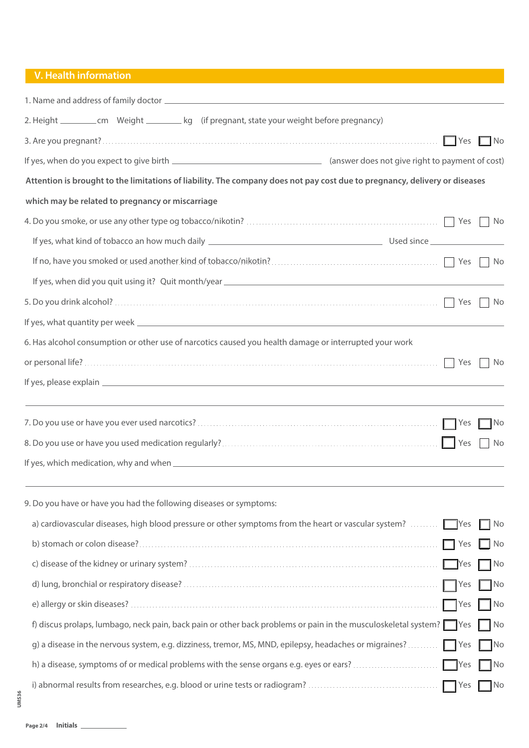## **V. Health information**

| 2. Height ___________ cm Weight __________ kg (if pregnant, state your weight before pregnancy)                                                                                                                                  |                 |      |
|----------------------------------------------------------------------------------------------------------------------------------------------------------------------------------------------------------------------------------|-----------------|------|
|                                                                                                                                                                                                                                  | Yes             | I No |
|                                                                                                                                                                                                                                  |                 |      |
| Attention is brought to the limitations of liability. The company does not pay cost due to pregnancy, delivery or diseases                                                                                                       |                 |      |
| which may be related to pregnancy or miscarriage                                                                                                                                                                                 |                 |      |
|                                                                                                                                                                                                                                  | Yes             | No   |
|                                                                                                                                                                                                                                  |                 |      |
| If no, have you smoked or used another kind of tobacco/nikotin?<br>The same strategy of the Second State of the Second State of the Second State of the Second State of the Second State of Second State of Second State of Seco |                 |      |
|                                                                                                                                                                                                                                  |                 |      |
|                                                                                                                                                                                                                                  |                 |      |
|                                                                                                                                                                                                                                  |                 |      |
| 6. Has alcohol consumption or other use of narcotics caused you health damage or interrupted your work                                                                                                                           |                 |      |
|                                                                                                                                                                                                                                  | Yes             | No   |
|                                                                                                                                                                                                                                  |                 |      |
|                                                                                                                                                                                                                                  |                 |      |
|                                                                                                                                                                                                                                  |                 | ∃No  |
|                                                                                                                                                                                                                                  | Yes             | No   |
|                                                                                                                                                                                                                                  |                 |      |
|                                                                                                                                                                                                                                  |                 |      |
| 9. Do you have or have you had the following diseases or symptoms:                                                                                                                                                               |                 |      |
| a) cardiovascular diseases, high blood pressure or other symptoms from the heart or vascular system?                                                                                                                             | <b>Paragona</b> | No   |
| b) stomach or colon disease?                                                                                                                                                                                                     | I Yes           | No   |
|                                                                                                                                                                                                                                  | <b>Paragona</b> | ¶No  |
|                                                                                                                                                                                                                                  | <b>Yes</b>      | 1No  |
|                                                                                                                                                                                                                                  | Yes             | No   |
| f) discus prolaps, lumbago, neck pain, back pain or other back problems or pain in the musculoskeletal system?                                                                                                                   | <b>TYes</b>     | No   |
| g) a disease in the nervous system, e.g. dizziness, tremor, MS, MND, epilepsy, headaches or migraines?                                                                                                                           | Yes             | No   |
| h) a disease, symptoms of or medical problems with the sense organs e.g. eyes or ears?                                                                                                                                           | <b>I</b> Yes    | No   |
| i) abnormal results from researches, e.g. blood or urine tests or radiogram?                                                                                                                                                     | Yes             | No   |
|                                                                                                                                                                                                                                  |                 |      |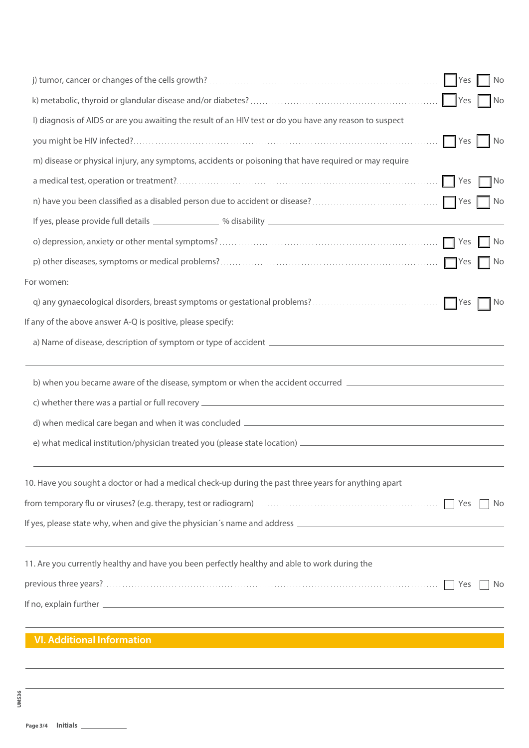|                                                                                                                | <b>Yes</b>  | No            |
|----------------------------------------------------------------------------------------------------------------|-------------|---------------|
|                                                                                                                | <b>Yes</b>  | $\mathsf{No}$ |
| I) diagnosis of AIDS or are you awaiting the result of an HIV test or do you have any reason to suspect        |             |               |
|                                                                                                                | Yes         | No            |
| m) disease or physical injury, any symptoms, accidents or poisoning that have required or may require          |             |               |
|                                                                                                                | Yes         | $\Box$ No     |
|                                                                                                                | $ $ Yes     | ∥ No          |
|                                                                                                                |             |               |
|                                                                                                                | Yes         | No            |
|                                                                                                                | <b>TYes</b> | No            |
| For women:                                                                                                     |             |               |
|                                                                                                                | Yes         | No            |
| If any of the above answer A-Q is positive, please specify:                                                    |             |               |
|                                                                                                                |             |               |
| b) when you became aware of the disease, symptom or when the accident occurred _______________________________ |             |               |
|                                                                                                                |             |               |
|                                                                                                                |             |               |
|                                                                                                                |             |               |
| 10. Have you sought a doctor or had a medical check-up during the past three years for anything apart          |             |               |
|                                                                                                                | Yes         | No            |
| If yes, please state why, when and give the physician's name and address ___________________________           |             |               |
| 11. Are you currently healthy and have you been perfectly healthy and able to work during the                  |             |               |
|                                                                                                                | Yes         | No            |
|                                                                                                                |             |               |
| <b>VI. Additional Information</b>                                                                              |             |               |
|                                                                                                                |             |               |
|                                                                                                                |             |               |